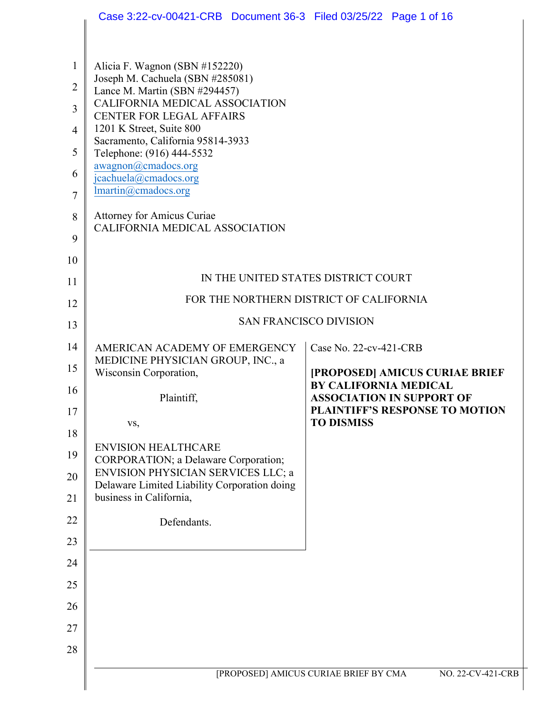|                                                                     | Case 3:22-cv-00421-CRB  Document 36-3  Filed 03/25/22  Page 1 of 16                                                                                                                                                                                                                                                                                                                                                  |                                                                  |
|---------------------------------------------------------------------|----------------------------------------------------------------------------------------------------------------------------------------------------------------------------------------------------------------------------------------------------------------------------------------------------------------------------------------------------------------------------------------------------------------------|------------------------------------------------------------------|
| 1<br>$\overline{2}$<br>3<br>$\overline{4}$<br>5<br>6<br>$\tau$<br>8 | Alicia F. Wagnon (SBN #152220)<br>Joseph M. Cachuela (SBN #285081)<br>Lance M. Martin (SBN #294457)<br>CALIFORNIA MEDICAL ASSOCIATION<br><b>CENTER FOR LEGAL AFFAIRS</b><br>1201 K Street, Suite 800<br>Sacramento, California 95814-3933<br>Telephone: (916) 444-5532<br>awagnon@cmadocs.org<br>jcachuela@cmadocs.org<br>lmartin@cmadocs.org<br><b>Attorney for Amicus Curiae</b><br>CALIFORNIA MEDICAL ASSOCIATION |                                                                  |
| 9<br>10                                                             |                                                                                                                                                                                                                                                                                                                                                                                                                      |                                                                  |
| 11                                                                  |                                                                                                                                                                                                                                                                                                                                                                                                                      | IN THE UNITED STATES DISTRICT COURT                              |
| 12                                                                  |                                                                                                                                                                                                                                                                                                                                                                                                                      | FOR THE NORTHERN DISTRICT OF CALIFORNIA                          |
| 13                                                                  |                                                                                                                                                                                                                                                                                                                                                                                                                      | <b>SAN FRANCISCO DIVISION</b>                                    |
| 14                                                                  | AMERICAN ACADEMY OF EMERGENCY                                                                                                                                                                                                                                                                                                                                                                                        | Case No. 22-cv-421-CRB                                           |
| 15                                                                  | MEDICINE PHYSICIAN GROUP, INC., a<br>Wisconsin Corporation,                                                                                                                                                                                                                                                                                                                                                          | [PROPOSED] AMICUS CURIAE BRIEF                                   |
| 16                                                                  | Plaintiff,                                                                                                                                                                                                                                                                                                                                                                                                           | <b>BY CALIFORNIA MEDICAL</b><br><b>ASSOCIATION IN SUPPORT OF</b> |
| 17                                                                  | VS,                                                                                                                                                                                                                                                                                                                                                                                                                  | <b>PLAINTIFF'S RESPONSE TO MOTION</b><br><b>TO DISMISS</b>       |
| 18<br>19                                                            | <b>ENVISION HEALTHCARE</b>                                                                                                                                                                                                                                                                                                                                                                                           |                                                                  |
| 20                                                                  | CORPORATION; a Delaware Corporation;<br>ENVISION PHYSICIAN SERVICES LLC; a                                                                                                                                                                                                                                                                                                                                           |                                                                  |
| 21                                                                  | Delaware Limited Liability Corporation doing<br>business in California,                                                                                                                                                                                                                                                                                                                                              |                                                                  |
| 22                                                                  | Defendants.                                                                                                                                                                                                                                                                                                                                                                                                          |                                                                  |
| 23                                                                  |                                                                                                                                                                                                                                                                                                                                                                                                                      |                                                                  |
| 24                                                                  |                                                                                                                                                                                                                                                                                                                                                                                                                      |                                                                  |
| 25                                                                  |                                                                                                                                                                                                                                                                                                                                                                                                                      |                                                                  |
| 26                                                                  |                                                                                                                                                                                                                                                                                                                                                                                                                      |                                                                  |
| 27                                                                  |                                                                                                                                                                                                                                                                                                                                                                                                                      |                                                                  |
| 28                                                                  |                                                                                                                                                                                                                                                                                                                                                                                                                      |                                                                  |
|                                                                     |                                                                                                                                                                                                                                                                                                                                                                                                                      | [PROPOSED] AMICUS CURIAE BRIEF BY CMA<br>NO. 22-CV-421-CRB       |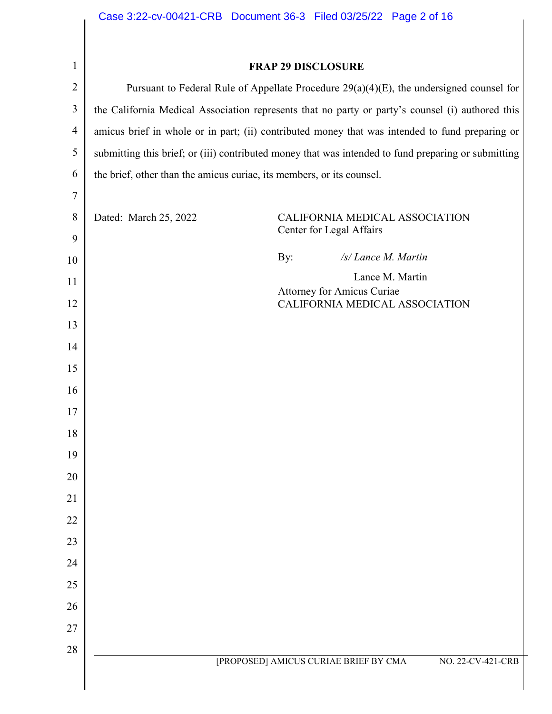$\overline{1}$  $\mathsf{l}$ 

| 1              | <b>FRAP 29 DISCLOSURE</b>                                                                           |  |
|----------------|-----------------------------------------------------------------------------------------------------|--|
| $\overline{2}$ | Pursuant to Federal Rule of Appellate Procedure $29(a)(4)(E)$ , the undersigned counsel for         |  |
| 3              | the California Medical Association represents that no party or party's counsel (i) authored this    |  |
| $\overline{4}$ | amicus brief in whole or in part; (ii) contributed money that was intended to fund preparing or     |  |
| 5              | submitting this brief; or (iii) contributed money that was intended to fund preparing or submitting |  |
| 6              | the brief, other than the amicus curiae, its members, or its counsel.                               |  |
| 7              |                                                                                                     |  |
| 8<br>9         | Dated: March 25, 2022<br>CALIFORNIA MEDICAL ASSOCIATION<br>Center for Legal Affairs                 |  |
| 10             | /s/ Lance M. Martin<br>By:                                                                          |  |
| 11             | Lance M. Martin                                                                                     |  |
| 12             | <b>Attorney for Amicus Curiae</b><br>CALIFORNIA MEDICAL ASSOCIATION                                 |  |
| 13             |                                                                                                     |  |
| 14             |                                                                                                     |  |
| 15             |                                                                                                     |  |
| 16             |                                                                                                     |  |
| 17             |                                                                                                     |  |
| 18             |                                                                                                     |  |
| 19             |                                                                                                     |  |
| 20             |                                                                                                     |  |
| 21             |                                                                                                     |  |
| 22             |                                                                                                     |  |
| 23             |                                                                                                     |  |
| 24             |                                                                                                     |  |
| 25             |                                                                                                     |  |
| 26             |                                                                                                     |  |
| 27             |                                                                                                     |  |
| 28             | [PROPOSED] AMICUS CURIAE BRIEF BY CMA<br>NO. 22-CV-421-CRB                                          |  |
|                |                                                                                                     |  |
|                |                                                                                                     |  |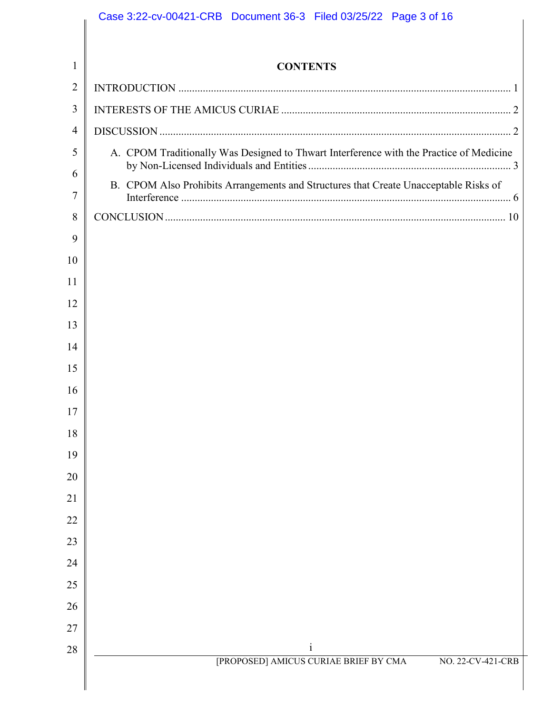|                | Case 3:22-cv-00421-CRB  Document 36-3  Filed 03/25/22  Page 3 of 16                     |
|----------------|-----------------------------------------------------------------------------------------|
| $\mathbf{1}$   | <b>CONTENTS</b>                                                                         |
| $\overline{2}$ |                                                                                         |
| 3              |                                                                                         |
| 4              |                                                                                         |
| 5              | A. CPOM Traditionally Was Designed to Thwart Interference with the Practice of Medicine |
| 6<br>7         | B. CPOM Also Prohibits Arrangements and Structures that Create Unacceptable Risks of    |
| 8              |                                                                                         |
| 9              |                                                                                         |
| 10             |                                                                                         |
| 11             |                                                                                         |
| 12             |                                                                                         |
| 13             |                                                                                         |
| 14             |                                                                                         |
| 15             |                                                                                         |
| 16             |                                                                                         |
| 17             |                                                                                         |
| 18             |                                                                                         |
| 19             |                                                                                         |
| 20             |                                                                                         |
| 21             |                                                                                         |
| 22             |                                                                                         |
| 23             |                                                                                         |
| 24             |                                                                                         |
| 25             |                                                                                         |
| 26             |                                                                                         |
| 27             |                                                                                         |
| $28\,$         | $\mathbf{i}$<br>[PROPOSED] AMICUS CURIAE BRIEF BY CMA<br>NO. 22-CV-421-CRB              |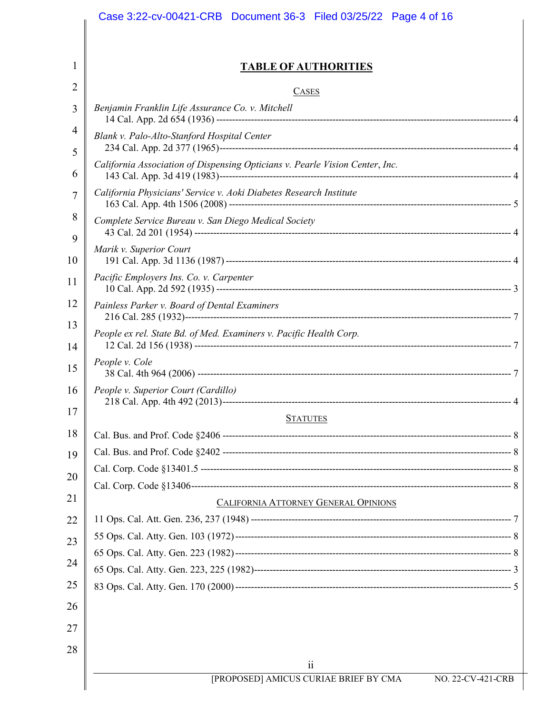| Case 3:22-cv-00421-CRB  Document 36-3  Filed 03/25/22  Page 4 of 16               |
|-----------------------------------------------------------------------------------|
|                                                                                   |
| <u>TABLE OF AUTHORITIES</u>                                                       |
| <b>CASES</b>                                                                      |
| Benjamin Franklin Life Assurance Co. v. Mitchell                                  |
| Blank v. Palo-Alto-Stanford Hospital Center                                       |
| California Association of Dispensing Opticians v. Pearle Vision Center, Inc.      |
| California Physicians' Service v. Aoki Diabetes Research Institute                |
| Complete Service Bureau v. San Diego Medical Society                              |
| Marik v. Superior Court                                                           |
| Pacific Employers Ins. Co. v. Carpenter                                           |
| Painless Parker v. Board of Dental Examiners                                      |
| People ex rel. State Bd. of Med. Examiners v. Pacific Health Corp.                |
| People v. Cole                                                                    |
| People v. Superior Court (Cardillo)                                               |
| <b>STATUTES</b>                                                                   |
|                                                                                   |
|                                                                                   |
|                                                                                   |
|                                                                                   |
| CALIFORNIA ATTORNEY GENERAL OPINIONS                                              |
|                                                                                   |
|                                                                                   |
|                                                                                   |
|                                                                                   |
|                                                                                   |
|                                                                                   |
|                                                                                   |
| $\ddot{\mathbf{i}}$<br>[PROPOSED] AMICUS CURIAE BRIEF BY CMA<br>NO. 22-CV-421-CRB |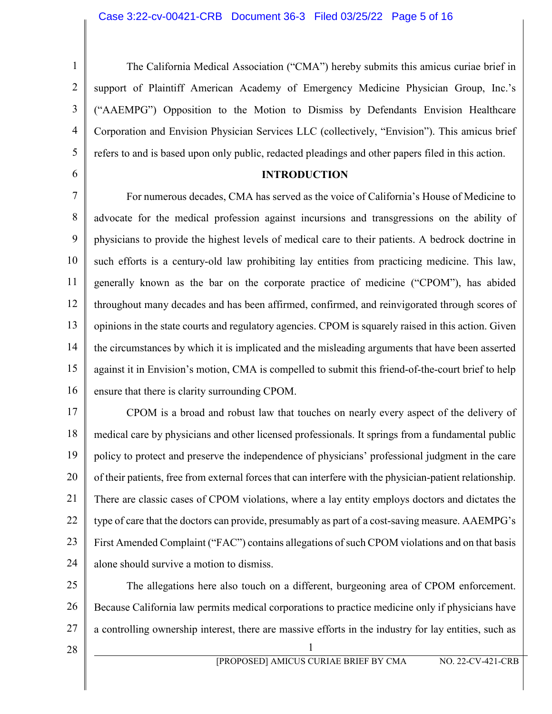2 3

4

5

<span id="page-4-0"></span>6

1

The California Medical Association ("CMA") hereby submits this amicus curiae brief in support of Plaintiff American Academy of Emergency Medicine Physician Group, Inc.'s ("AAEMPG") Opposition to the Motion to Dismiss by Defendants Envision Healthcare Corporation and Envision Physician Services LLC (collectively, "Envision"). This amicus brief refers to and is based upon only public, redacted pleadings and other papers filed in this action.

#### **INTRODUCTION**

7 8 9 10 11 12 13 14 15 16 For numerous decades, CMA has served as the voice of California's House of Medicine to advocate for the medical profession against incursions and transgressions on the ability of physicians to provide the highest levels of medical care to their patients. A bedrock doctrine in such efforts is a century-old law prohibiting lay entities from practicing medicine. This law, generally known as the bar on the corporate practice of medicine ("CPOM"), has abided throughout many decades and has been affirmed, confirmed, and reinvigorated through scores of opinions in the state courts and regulatory agencies. CPOM is squarely raised in this action. Given the circumstances by which it is implicated and the misleading arguments that have been asserted against it in Envision's motion, CMA is compelled to submit this friend-of-the-court brief to help ensure that there is clarity surrounding CPOM.

17 18 19 20 21 22 23 24 CPOM is a broad and robust law that touches on nearly every aspect of the delivery of medical care by physicians and other licensed professionals. It springs from a fundamental public policy to protect and preserve the independence of physicians' professional judgment in the care of their patients, free from external forces that can interfere with the physician-patient relationship. There are classic cases of CPOM violations, where a lay entity employs doctors and dictates the type of care that the doctors can provide, presumably as part of a cost-saving measure. AAEMPG's First Amended Complaint ("FAC") contains allegations of such CPOM violations and on that basis alone should survive a motion to dismiss.

25 26 27 The allegations here also touch on a different, burgeoning area of CPOM enforcement. Because California law permits medical corporations to practice medicine only if physicians have a controlling ownership interest, there are massive efforts in the industry for lay entities, such as

28  $\parallel$  1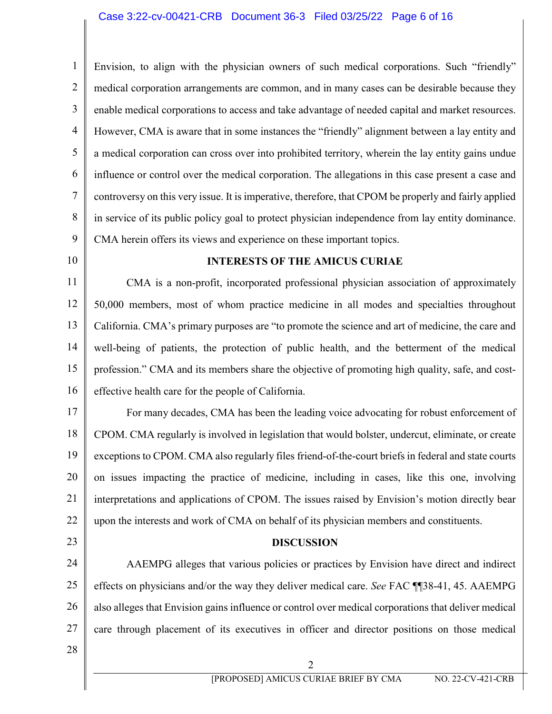1 2 3 4 5 6 7 8 9 Envision, to align with the physician owners of such medical corporations. Such "friendly" medical corporation arrangements are common, and in many cases can be desirable because they enable medical corporations to access and take advantage of needed capital and market resources. However, CMA is aware that in some instances the "friendly" alignment between a lay entity and a medical corporation can cross over into prohibited territory, wherein the lay entity gains undue influence or control over the medical corporation. The allegations in this case present a case and controversy on this very issue. It is imperative, therefore, that CPOM be properly and fairly applied in service of its public policy goal to protect physician independence from lay entity dominance. CMA herein offers its views and experience on these important topics.

<span id="page-5-0"></span>10

## **INTERESTS OF THE AMICUS CURIAE**

11 12 13 14 15 16 CMA is a non-profit, incorporated professional physician association of approximately 50,000 members, most of whom practice medicine in all modes and specialties throughout California. CMA's primary purposes are "to promote the science and art of medicine, the care and well-being of patients, the protection of public health, and the betterment of the medical profession." CMA and its members share the objective of promoting high quality, safe, and costeffective health care for the people of California.

17 18 19 20 21 22 For many decades, CMA has been the leading voice advocating for robust enforcement of CPOM. CMA regularly is involved in legislation that would bolster, undercut, eliminate, or create exceptions to CPOM. CMA also regularly files friend-of-the-court briefs in federal and state courts on issues impacting the practice of medicine, including in cases, like this one, involving interpretations and applications of CPOM. The issues raised by Envision's motion directly bear upon the interests and work of CMA on behalf of its physician members and constituents.

<span id="page-5-1"></span>23

### **DISCUSSION**

24 25 26 27 AAEMPG alleges that various policies or practices by Envision have direct and indirect effects on physicians and/or the way they deliver medical care. *See* FAC ¶¶38-41, 45. AAEMPG also alleges that Envision gains influence or control over medical corporations that deliver medical care through placement of its executives in officer and director positions on those medical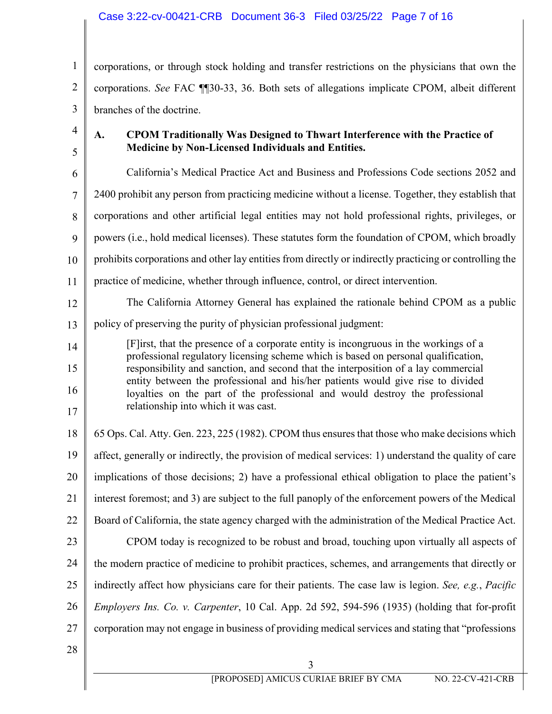## Case 3:22-cv-00421-CRB Document 36-3 Filed 03/25/22 Page 7 of 16

1 2 3 corporations, or through stock holding and transfer restrictions on the physicians that own the corporations. *See* FAC ¶¶30-33, 36. Both sets of allegations implicate CPOM, albeit different branches of the doctrine.

4

5

## <span id="page-6-0"></span>**A. CPOM Traditionally Was Designed to Thwart Interference with the Practice of Medicine by Non-Licensed Individuals and Entities.**

6 7 8 9 10 11 12 13 14 15 16 17 18 19 20 21 22 23 24 25 26 27 California's Medical Practice Act and Business and Professions Code sections 2052 and 2400 prohibit any person from practicing medicine without a license. Together, they establish that corporations and other artificial legal entities may not hold professional rights, privileges, or powers (i.e., hold medical licenses). These statutes form the foundation of CPOM, which broadly prohibits corporations and other lay entities from directly or indirectly practicing or controlling the practice of medicine, whether through influence, control, or direct intervention. The California Attorney General has explained the rationale behind CPOM as a public policy of preserving the purity of physician professional judgment: [F]irst, that the presence of a corporate entity is incongruous in the workings of a professional regulatory licensing scheme which is based on personal qualification, responsibility and sanction, and second that the interposition of a lay commercial entity between the professional and his/her patients would give rise to divided loyalties on the part of the professional and would destroy the professional relationship into which it was cast. 65 Ops. Cal. Atty. Gen. 223, 225 (1982). CPOM thus ensures that those who make decisions which affect, generally or indirectly, the provision of medical services: 1) understand the quality of care implications of those decisions; 2) have a professional ethical obligation to place the patient's interest foremost; and 3) are subject to the full panoply of the enforcement powers of the Medical Board of California, the state agency charged with the administration of the Medical Practice Act. CPOM today is recognized to be robust and broad, touching upon virtually all aspects of the modern practice of medicine to prohibit practices, schemes, and arrangements that directly or indirectly affect how physicians care for their patients. The case law is legion. *See, e.g.*, *Pacific Employers Ins. Co. v. Carpenter*, 10 Cal. App. 2d 592, 594-596 (1935) (holding that for-profit corporation may not engage in business of providing medical services and stating that "professions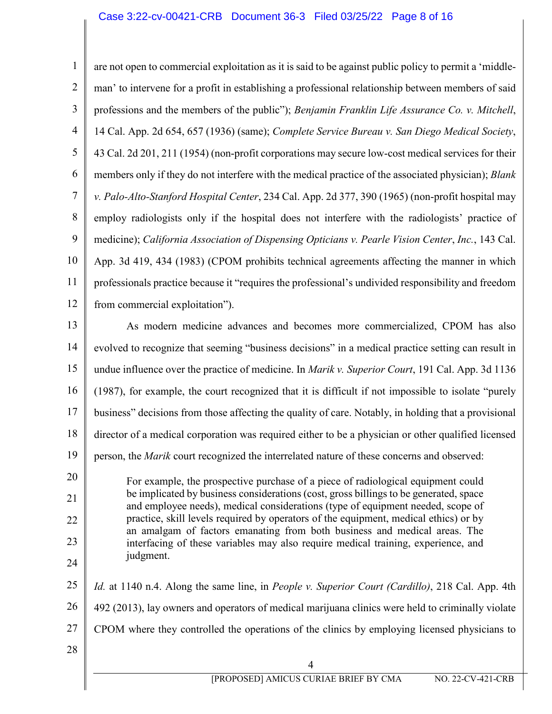1 2 3 4 5 6 7 8 9 10 11 12 13 14 15 16 17 18 19 20 21 22 23 24 25 26 27 28 4 [PROPOSED] AMICUS CURIAE BRIEF BY CMA NO. 22-CV-421-CRB are not open to commercial exploitation as it is said to be against public policy to permit a 'middleman' to intervene for a profit in establishing a professional relationship between members of said professions and the members of the public"); *Benjamin Franklin Life Assurance Co. v. Mitchell*, 14 Cal. App. 2d 654, 657 (1936) (same); *Complete Service Bureau v. San Diego Medical Society*, 43 Cal. 2d 201, 211 (1954) (non-profit corporations may secure low-cost medical services for their members only if they do not interfere with the medical practice of the associated physician); *Blank v. Palo-Alto-Stanford Hospital Center*, 234 Cal. App. 2d 377, 390 (1965) (non-profit hospital may employ radiologists only if the hospital does not interfere with the radiologists' practice of medicine); *California Association of Dispensing Opticians v. Pearle Vision Center*, *Inc.*, 143 Cal. App. 3d 419, 434 (1983) (CPOM prohibits technical agreements affecting the manner in which professionals practice because it "requires the professional's undivided responsibility and freedom from commercial exploitation"). As modern medicine advances and becomes more commercialized, CPOM has also evolved to recognize that seeming "business decisions" in a medical practice setting can result in undue influence over the practice of medicine. In *Marik v. Superior Court*, 191 Cal. App. 3d 1136 (1987), for example, the court recognized that it is difficult if not impossible to isolate "purely business" decisions from those affecting the quality of care. Notably, in holding that a provisional director of a medical corporation was required either to be a physician or other qualified licensed person, the *Marik* court recognized the interrelated nature of these concerns and observed: For example, the prospective purchase of a piece of radiological equipment could be implicated by business considerations (cost, gross billings to be generated, space and employee needs), medical considerations (type of equipment needed, scope of practice, skill levels required by operators of the equipment, medical ethics) or by an amalgam of factors emanating from both business and medical areas. The interfacing of these variables may also require medical training, experience, and judgment. *Id.* at 1140 n.4. Along the same line, in *People v. Superior Court (Cardillo)*, 218 Cal. App. 4th 492 (2013), lay owners and operators of medical marijuana clinics were held to criminally violate CPOM where they controlled the operations of the clinics by employing licensed physicians to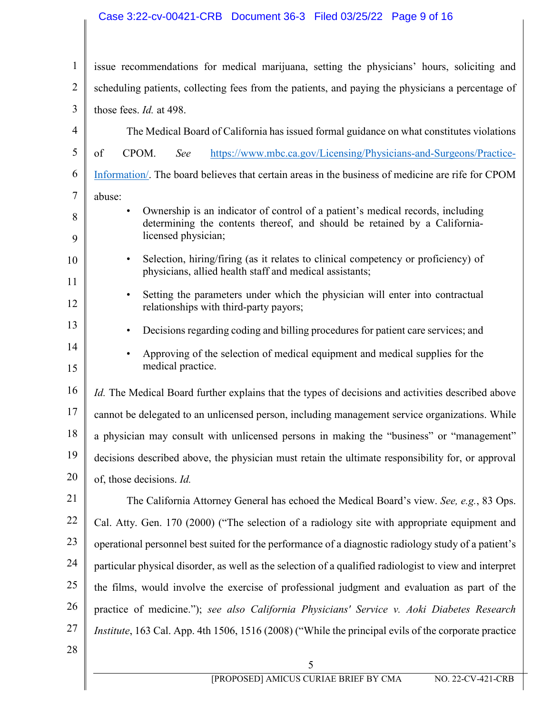# Case 3:22-cv-00421-CRB Document 36-3 Filed 03/25/22 Page 9 of 16

| $\mathbf{1}$   | issue recommendations for medical marijuana, setting the physicians' hours, soliciting and                                                                  |
|----------------|-------------------------------------------------------------------------------------------------------------------------------------------------------------|
| $\overline{2}$ | scheduling patients, collecting fees from the patients, and paying the physicians a percentage of                                                           |
| 3              | those fees. <i>Id.</i> at 498.                                                                                                                              |
| 4              | The Medical Board of California has issued formal guidance on what constitutes violations                                                                   |
| 5              | CPOM.<br>https://www.mbc.ca.gov/Licensing/Physicians-and-Surgeons/Practice-<br>of<br>See                                                                    |
| 6              | Information/. The board believes that certain areas in the business of medicine are rife for CPOM                                                           |
| 7              | abuse:                                                                                                                                                      |
| 8              | Ownership is an indicator of control of a patient's medical records, including<br>determining the contents thereof, and should be retained by a California- |
| 9              | licensed physician;                                                                                                                                         |
| 10             | Selection, hiring/firing (as it relates to clinical competency or proficiency) of<br>$\bullet$<br>physicians, allied health staff and medical assistants;   |
| 11<br>12       | Setting the parameters under which the physician will enter into contractual<br>$\bullet$<br>relationships with third-party payors;                         |
| 13             | Decisions regarding coding and billing procedures for patient care services; and<br>$\bullet$                                                               |
| 14             | Approving of the selection of medical equipment and medical supplies for the<br>$\bullet$                                                                   |
| 15             | medical practice.                                                                                                                                           |
| 16             | <i>Id.</i> The Medical Board further explains that the types of decisions and activities described above                                                    |
| 17             | cannot be delegated to an unlicensed person, including management service organizations. While                                                              |
| 18             | a physician may consult with unlicensed persons in making the "business" or "management"                                                                    |
| 19             | decisions described above, the physician must retain the ultimate responsibility for, or approval                                                           |
| 20             | of, those decisions. Id.                                                                                                                                    |
| 21             | The California Attorney General has echoed the Medical Board's view. See, e.g., 83 Ops.                                                                     |
| 22             | Cal. Atty. Gen. 170 (2000) ("The selection of a radiology site with appropriate equipment and                                                               |
| 23             | operational personnel best suited for the performance of a diagnostic radiology study of a patient's                                                        |
| 24             | particular physical disorder, as well as the selection of a qualified radiologist to view and interpret                                                     |
| 25             | the films, would involve the exercise of professional judgment and evaluation as part of the                                                                |
| 26             | practice of medicine."); see also California Physicians' Service v. Aoki Diabetes Research                                                                  |
| 27             | <i>Institute</i> , 163 Cal. App. 4th 1506, 1516 (2008) ("While the principal evils of the corporate practice                                                |
| 28             |                                                                                                                                                             |
|                | 5<br>[PROPOSED] AMICUS CURIAE BRIEF BY CMA<br>NO. 22-CV-421-CRB                                                                                             |
|                |                                                                                                                                                             |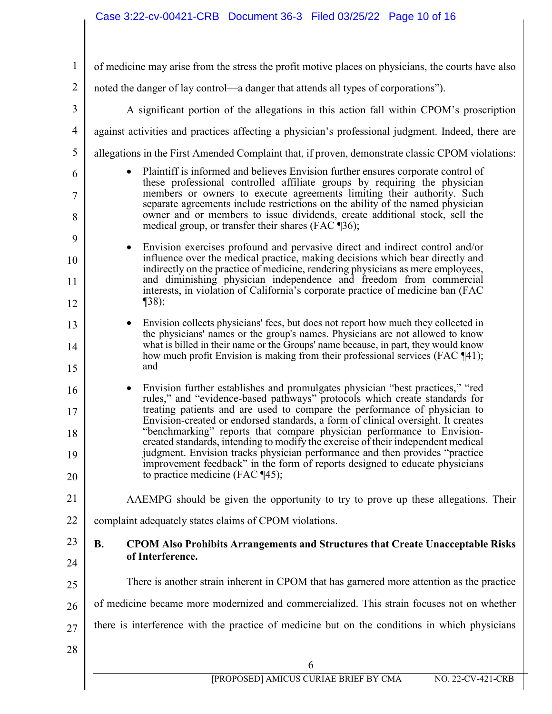# Case 3:22-cv-00421-CRB Document 36-3 Filed 03/25/22 Page 10 of 16

<span id="page-9-0"></span>

| 1              | of medicine may arise from the stress the profit motive places on physicians, the courts have also                                                                   |
|----------------|----------------------------------------------------------------------------------------------------------------------------------------------------------------------|
| $\overline{2}$ | noted the danger of lay control—a danger that attends all types of corporations").                                                                                   |
| 3              | A significant portion of the allegations in this action fall within CPOM's proscription                                                                              |
| $\overline{4}$ | against activities and practices affecting a physician's professional judgment. Indeed, there are                                                                    |
| 5              | allegations in the First Amended Complaint that, if proven, demonstrate classic CPOM violations:                                                                     |
| 6              | Plaintiff is informed and believes Envision further ensures corporate control of<br>these professional controlled affiliate groups by requiring the physician        |
| $\tau$         | members or owners to execute agreements limiting their authority. Such<br>separate agreements include restrictions on the ability of the named physician             |
| 8              | owner and or members to issue dividends, create additional stock, sell the<br>medical group, or transfer their shares (FAC ¶36);                                     |
| 9              | Envision exercises profound and pervasive direct and indirect control and/or                                                                                         |
| 10             | influence over the medical practice, making decisions which bear directly and<br>indirectly on the practice of medicine, rendering physicians as mere employees,     |
| 11             | and diminishing physician independence and freedom from commercial<br>interests, in violation of California's corporate practice of medicine ban (FAC                |
| 12             | $\P$ 38);                                                                                                                                                            |
| 13             | Envision collects physicians' fees, but does not report how much they collected in<br>the physicians' names or the group's names. Physicians are not allowed to know |
| 14             | what is billed in their name or the Groups' name because, in part, they would know<br>how much profit Envision is making from their professional services (FAC ¶41); |
| 15             | and                                                                                                                                                                  |
| 16             | Envision further establishes and promulgates physician "best practices," "red<br>rules," and "evidence-based pathways" protocols which create standards for          |
| 17             | treating patients and are used to compare the performance of physician to<br>Envision-created or endorsed standards, a form of clinical oversight. It creates        |
| 18             | "benchmarking" reports that compare physician performance to Envision-<br>created standards, intending to modify the exercise of their independent medical           |
| 19             | judgment. Envision tracks physician performance and then provides "practice<br>improvement feedback" in the form of reports designed to educate physicians           |
| 20             | to practice medicine (FAC $\P$ 45);                                                                                                                                  |
| 21             | AAEMPG should be given the opportunity to try to prove up these allegations. Their                                                                                   |
| 22             | complaint adequately states claims of CPOM violations.                                                                                                               |
| 23             | <b>B.</b><br><b>CPOM Also Prohibits Arrangements and Structures that Create Unacceptable Risks</b>                                                                   |
| 24             | of Interference.                                                                                                                                                     |
| 25             | There is another strain inherent in CPOM that has garnered more attention as the practice                                                                            |
| 26             | of medicine became more modernized and commercialized. This strain focuses not on whether                                                                            |
| 27             | there is interference with the practice of medicine but on the conditions in which physicians                                                                        |
| 28             |                                                                                                                                                                      |
|                | 6                                                                                                                                                                    |
|                | [PROPOSED] AMICUS CURIAE BRIEF BY CMA<br>NO. 22-CV-421-CRB                                                                                                           |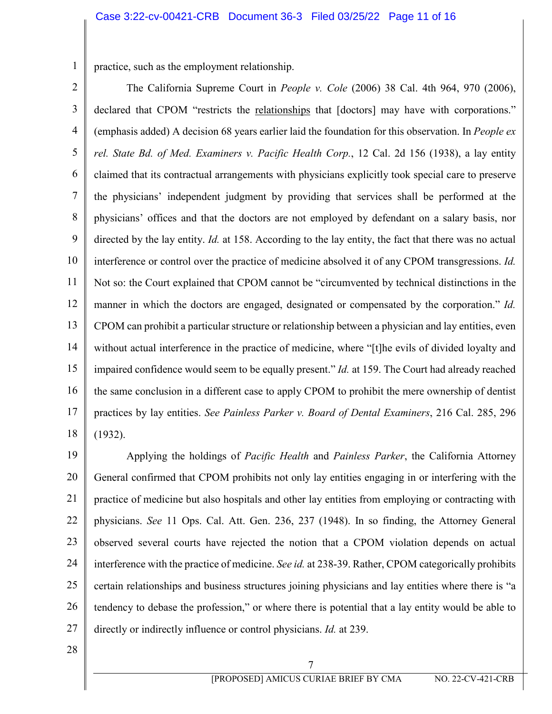1 practice, such as the employment relationship.

2 3 4 5 6 7 8 9 10 11 12 13 14 15 16 17 18 The California Supreme Court in *People v. Cole* (2006) 38 Cal. 4th 964, 970 (2006), declared that CPOM "restricts the relationships that [doctors] may have with corporations." (emphasis added) A decision 68 years earlier laid the foundation for this observation. In *People ex rel. State Bd. of Med. Examiners v. Pacific Health Corp.*, 12 Cal. 2d 156 (1938), a lay entity claimed that its contractual arrangements with physicians explicitly took special care to preserve the physicians' independent judgment by providing that services shall be performed at the physicians' offices and that the doctors are not employed by defendant on a salary basis, nor directed by the lay entity. *Id.* at 158. According to the lay entity, the fact that there was no actual interference or control over the practice of medicine absolved it of any CPOM transgressions. *Id.* Not so: the Court explained that CPOM cannot be "circumvented by technical distinctions in the manner in which the doctors are engaged, designated or compensated by the corporation." *Id.* CPOM can prohibit a particular structure or relationship between a physician and lay entities, even without actual interference in the practice of medicine, where "[t]he evils of divided loyalty and impaired confidence would seem to be equally present." *Id.* at 159. The Court had already reached the same conclusion in a different case to apply CPOM to prohibit the mere ownership of dentist practices by lay entities. *See Painless Parker v. Board of Dental Examiners*, 216 Cal. 285, 296 (1932).

19 20 21 22 23 24 25 26 27 Applying the holdings of *Pacific Health* and *Painless Parker*, the California Attorney General confirmed that CPOM prohibits not only lay entities engaging in or interfering with the practice of medicine but also hospitals and other lay entities from employing or contracting with physicians. *See* 11 Ops. Cal. Att. Gen. 236, 237 (1948). In so finding, the Attorney General observed several courts have rejected the notion that a CPOM violation depends on actual interference with the practice of medicine. *See id.* at 238-39. Rather, CPOM categorically prohibits certain relationships and business structures joining physicians and lay entities where there is "a tendency to debase the profession," or where there is potential that a lay entity would be able to directly or indirectly influence or control physicians. *Id.* at 239.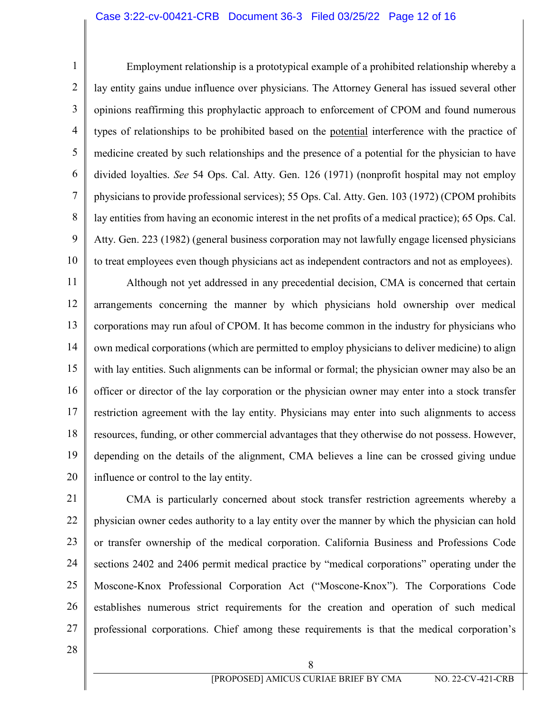### Case 3:22-cv-00421-CRB Document 36-3 Filed 03/25/22 Page 12 of 16

1 2 3 4 5 6 7 8 9 10 Employment relationship is a prototypical example of a prohibited relationship whereby a lay entity gains undue influence over physicians. The Attorney General has issued several other opinions reaffirming this prophylactic approach to enforcement of CPOM and found numerous types of relationships to be prohibited based on the potential interference with the practice of medicine created by such relationships and the presence of a potential for the physician to have divided loyalties. *See* 54 Ops. Cal. Atty. Gen. 126 (1971) (nonprofit hospital may not employ physicians to provide professional services); 55 Ops. Cal. Atty. Gen. 103 (1972) (CPOM prohibits lay entities from having an economic interest in the net profits of a medical practice); 65 Ops. Cal. Atty. Gen. 223 (1982) (general business corporation may not lawfully engage licensed physicians to treat employees even though physicians act as independent contractors and not as employees).

11 12 13 14 15 16 17 18 19 20 Although not yet addressed in any precedential decision, CMA is concerned that certain arrangements concerning the manner by which physicians hold ownership over medical corporations may run afoul of CPOM. It has become common in the industry for physicians who own medical corporations (which are permitted to employ physicians to deliver medicine) to align with lay entities. Such alignments can be informal or formal; the physician owner may also be an officer or director of the lay corporation or the physician owner may enter into a stock transfer restriction agreement with the lay entity. Physicians may enter into such alignments to access resources, funding, or other commercial advantages that they otherwise do not possess. However, depending on the details of the alignment, CMA believes a line can be crossed giving undue influence or control to the lay entity.

21 22 23 24 25 26 27 CMA is particularly concerned about stock transfer restriction agreements whereby a physician owner cedes authority to a lay entity over the manner by which the physician can hold or transfer ownership of the medical corporation. California Business and Professions Code sections 2402 and 2406 permit medical practice by "medical corporations" operating under the Moscone-Knox Professional Corporation Act ("Moscone-Knox"). The Corporations Code establishes numerous strict requirements for the creation and operation of such medical professional corporations. Chief among these requirements is that the medical corporation's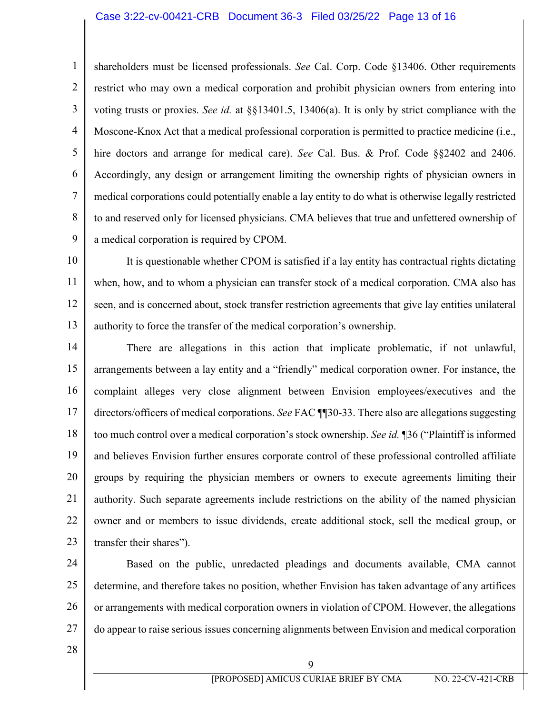#### Case 3:22-cv-00421-CRB Document 36-3 Filed 03/25/22 Page 13 of 16

2 3 4 5 6 8 shareholders must be licensed professionals. *See* Cal. Corp. Code §13406. Other requirements restrict who may own a medical corporation and prohibit physician owners from entering into voting trusts or proxies. *See id.* at §§13401.5, 13406(a). It is only by strict compliance with the Moscone-Knox Act that a medical professional corporation is permitted to practice medicine (i.e., hire doctors and arrange for medical care). *See* Cal. Bus. & Prof. Code §§2402 and 2406. Accordingly, any design or arrangement limiting the ownership rights of physician owners in medical corporations could potentially enable a lay entity to do what is otherwise legally restricted to and reserved only for licensed physicians. CMA believes that true and unfettered ownership of a medical corporation is required by CPOM.

10 11 12 13 It is questionable whether CPOM is satisfied if a lay entity has contractual rights dictating when, how, and to whom a physician can transfer stock of a medical corporation. CMA also has seen, and is concerned about, stock transfer restriction agreements that give lay entities unilateral authority to force the transfer of the medical corporation's ownership.

14 15 16 17 18 19 20 21 22 23 There are allegations in this action that implicate problematic, if not unlawful, arrangements between a lay entity and a "friendly" medical corporation owner. For instance, the complaint alleges very close alignment between Envision employees/executives and the directors/officers of medical corporations. *See* FAC ¶¶30-33. There also are allegations suggesting too much control over a medical corporation's stock ownership. *See id.* ¶36 ("Plaintiff is informed and believes Envision further ensures corporate control of these professional controlled affiliate groups by requiring the physician members or owners to execute agreements limiting their authority. Such separate agreements include restrictions on the ability of the named physician owner and or members to issue dividends, create additional stock, sell the medical group, or transfer their shares").

24 25 26 27 Based on the public, unredacted pleadings and documents available, CMA cannot determine, and therefore takes no position, whether Envision has taken advantage of any artifices or arrangements with medical corporation owners in violation of CPOM. However, the allegations do appear to raise serious issues concerning alignments between Envision and medical corporation

28

1

7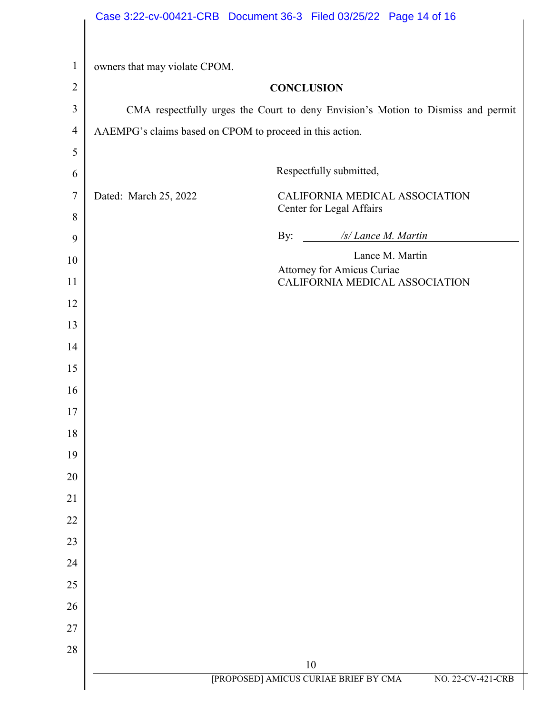<span id="page-13-0"></span>

| $\mathbf{1}$<br>owners that may violate CPOM.<br>$\overline{2}$<br><b>CONCLUSION</b><br>3<br>CMA respectfully urges the Court to deny Envision's Motion to Dismiss and permit<br>$\overline{4}$<br>AAEMPG's claims based on CPOM to proceed in this action.<br>5<br>Respectfully submitted,<br>6<br>$\overline{7}$<br>Dated: March 25, 2022<br>CALIFORNIA MEDICAL ASSOCIATION<br>Center for Legal Affairs<br>8<br>/s/ Lance M. Martin<br>By:<br>9<br>Lance M. Martin<br>10<br><b>Attorney for Amicus Curiae</b><br>CALIFORNIA MEDICAL ASSOCIATION<br>11<br>12<br>13<br>14<br>15<br>16<br>17<br>18<br>19<br>20<br>21<br>22<br>23<br>24<br>25 |  |
|---------------------------------------------------------------------------------------------------------------------------------------------------------------------------------------------------------------------------------------------------------------------------------------------------------------------------------------------------------------------------------------------------------------------------------------------------------------------------------------------------------------------------------------------------------------------------------------------------------------------------------------------|--|
|                                                                                                                                                                                                                                                                                                                                                                                                                                                                                                                                                                                                                                             |  |
|                                                                                                                                                                                                                                                                                                                                                                                                                                                                                                                                                                                                                                             |  |
|                                                                                                                                                                                                                                                                                                                                                                                                                                                                                                                                                                                                                                             |  |
|                                                                                                                                                                                                                                                                                                                                                                                                                                                                                                                                                                                                                                             |  |
|                                                                                                                                                                                                                                                                                                                                                                                                                                                                                                                                                                                                                                             |  |
|                                                                                                                                                                                                                                                                                                                                                                                                                                                                                                                                                                                                                                             |  |
|                                                                                                                                                                                                                                                                                                                                                                                                                                                                                                                                                                                                                                             |  |
|                                                                                                                                                                                                                                                                                                                                                                                                                                                                                                                                                                                                                                             |  |
|                                                                                                                                                                                                                                                                                                                                                                                                                                                                                                                                                                                                                                             |  |
|                                                                                                                                                                                                                                                                                                                                                                                                                                                                                                                                                                                                                                             |  |
|                                                                                                                                                                                                                                                                                                                                                                                                                                                                                                                                                                                                                                             |  |
|                                                                                                                                                                                                                                                                                                                                                                                                                                                                                                                                                                                                                                             |  |
|                                                                                                                                                                                                                                                                                                                                                                                                                                                                                                                                                                                                                                             |  |
|                                                                                                                                                                                                                                                                                                                                                                                                                                                                                                                                                                                                                                             |  |
|                                                                                                                                                                                                                                                                                                                                                                                                                                                                                                                                                                                                                                             |  |
|                                                                                                                                                                                                                                                                                                                                                                                                                                                                                                                                                                                                                                             |  |
|                                                                                                                                                                                                                                                                                                                                                                                                                                                                                                                                                                                                                                             |  |
|                                                                                                                                                                                                                                                                                                                                                                                                                                                                                                                                                                                                                                             |  |
|                                                                                                                                                                                                                                                                                                                                                                                                                                                                                                                                                                                                                                             |  |
|                                                                                                                                                                                                                                                                                                                                                                                                                                                                                                                                                                                                                                             |  |
|                                                                                                                                                                                                                                                                                                                                                                                                                                                                                                                                                                                                                                             |  |
|                                                                                                                                                                                                                                                                                                                                                                                                                                                                                                                                                                                                                                             |  |
|                                                                                                                                                                                                                                                                                                                                                                                                                                                                                                                                                                                                                                             |  |
|                                                                                                                                                                                                                                                                                                                                                                                                                                                                                                                                                                                                                                             |  |
|                                                                                                                                                                                                                                                                                                                                                                                                                                                                                                                                                                                                                                             |  |
| 26                                                                                                                                                                                                                                                                                                                                                                                                                                                                                                                                                                                                                                          |  |
| 27                                                                                                                                                                                                                                                                                                                                                                                                                                                                                                                                                                                                                                          |  |
| $28\,$                                                                                                                                                                                                                                                                                                                                                                                                                                                                                                                                                                                                                                      |  |
| $10\,$<br>[PROPOSED] AMICUS CURIAE BRIEF BY CMA<br>NO. 22-CV-421-CRB                                                                                                                                                                                                                                                                                                                                                                                                                                                                                                                                                                        |  |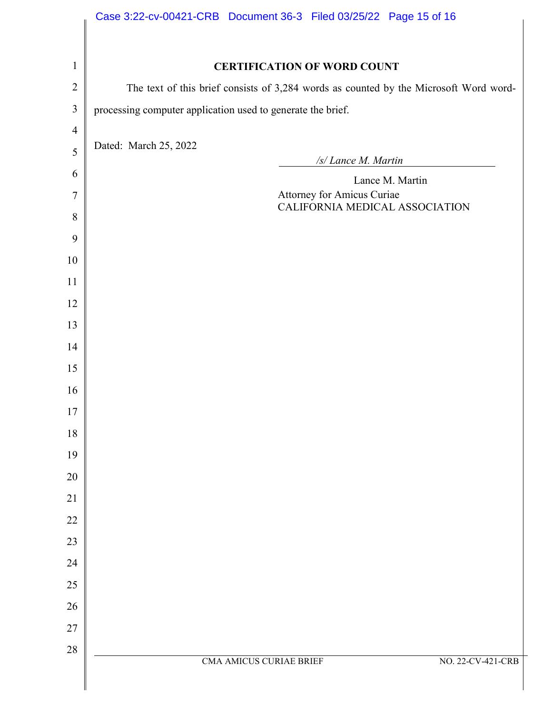|                | Case 3:22-cv-00421-CRB  Document 36-3  Filed 03/25/22  Page 15 of 16                  |
|----------------|---------------------------------------------------------------------------------------|
|                |                                                                                       |
| $\mathbf{1}$   | <b>CERTIFICATION OF WORD COUNT</b>                                                    |
| $\overline{2}$ | The text of this brief consists of 3,284 words as counted by the Microsoft Word word- |
| $\overline{3}$ | processing computer application used to generate the brief.                           |
| $\overline{4}$ |                                                                                       |
| 5              | Dated: March 25, 2022<br>/s/ Lance M. Martin                                          |
| 6              | Lance M. Martin                                                                       |
| 7              | Attorney for Amicus Curiae<br>CALIFORNIA MEDICAL ASSOCIATION                          |
| 8              |                                                                                       |
| 9              |                                                                                       |
| 10             |                                                                                       |
| 11             |                                                                                       |
| 12             |                                                                                       |
| 13             |                                                                                       |
| 14<br>15       |                                                                                       |
| 16             |                                                                                       |
| 17             |                                                                                       |
| 18             |                                                                                       |
| 19             |                                                                                       |
| $20\,$         |                                                                                       |
| 21             |                                                                                       |
| $22\,$         |                                                                                       |
| 23             |                                                                                       |
| 24             |                                                                                       |
| 25             |                                                                                       |
| 26             |                                                                                       |
| $27\,$         |                                                                                       |
| 28             | CMA AMICUS CURIAE BRIEF<br>NO. 22-CV-421-CRB                                          |
|                |                                                                                       |
|                |                                                                                       |